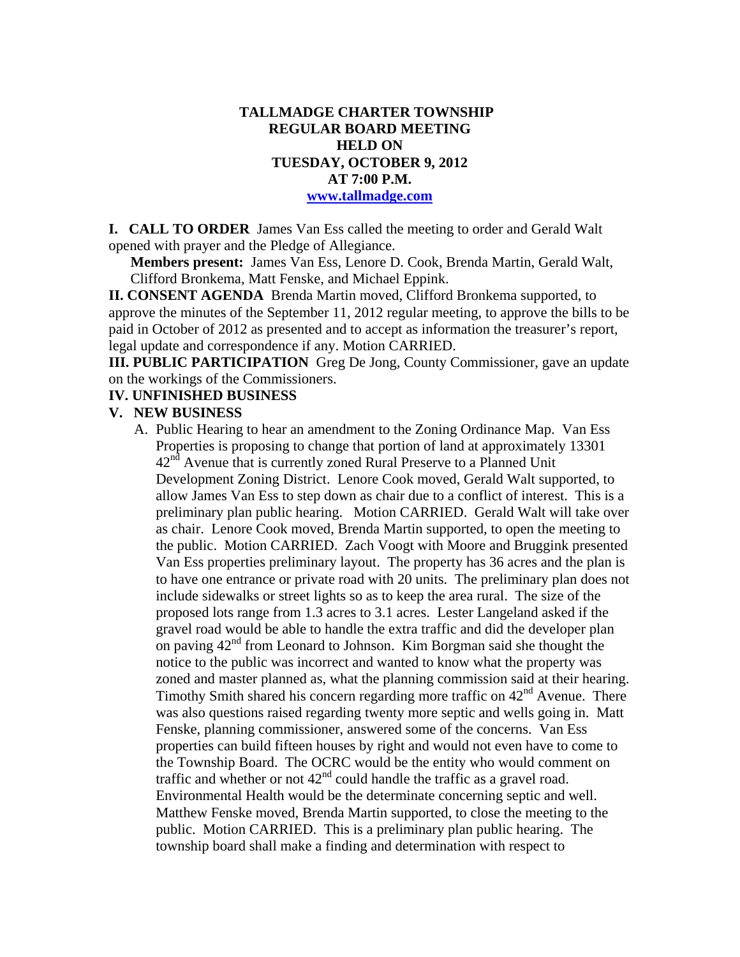### **TALLMADGE CHARTER TOWNSHIP REGULAR BOARD MEETING HELD ON TUESDAY, OCTOBER 9, 2012 AT 7:00 P.M. www.tallmadge.com**

**I. CALL TO ORDER** James Van Ess called the meeting to order and Gerald Walt opened with prayer and the Pledge of Allegiance.

**Members present:** James Van Ess, Lenore D. Cook, Brenda Martin, Gerald Walt, Clifford Bronkema, Matt Fenske, and Michael Eppink.

**II. CONSENT AGENDA** Brenda Martin moved, Clifford Bronkema supported, to approve the minutes of the September 11, 2012 regular meeting, to approve the bills to be paid in October of 2012 as presented and to accept as information the treasurer's report, legal update and correspondence if any. Motion CARRIED.

**III. PUBLIC PARTICIPATION** Greg De Jong, County Commissioner, gave an update on the workings of the Commissioners.

### **IV. UNFINISHED BUSINESS**

#### **V. NEW BUSINESS**

A. Public Hearing to hear an amendment to the Zoning Ordinance Map. Van Ess Properties is proposing to change that portion of land at approximately 13301  $42<sup>nd</sup>$  Avenue that is currently zoned Rural Preserve to a Planned Unit Development Zoning District. Lenore Cook moved, Gerald Walt supported, to allow James Van Ess to step down as chair due to a conflict of interest. This is a preliminary plan public hearing. Motion CARRIED. Gerald Walt will take over as chair. Lenore Cook moved, Brenda Martin supported, to open the meeting to the public. Motion CARRIED. Zach Voogt with Moore and Bruggink presented Van Ess properties preliminary layout. The property has 36 acres and the plan is to have one entrance or private road with 20 units. The preliminary plan does not include sidewalks or street lights so as to keep the area rural. The size of the proposed lots range from 1.3 acres to 3.1 acres. Lester Langeland asked if the gravel road would be able to handle the extra traffic and did the developer plan on paving 42nd from Leonard to Johnson. Kim Borgman said she thought the notice to the public was incorrect and wanted to know what the property was zoned and master planned as, what the planning commission said at their hearing. Timothy Smith shared his concern regarding more traffic on  $42<sup>nd</sup>$  Avenue. There was also questions raised regarding twenty more septic and wells going in. Matt Fenske, planning commissioner, answered some of the concerns. Van Ess properties can build fifteen houses by right and would not even have to come to the Township Board. The OCRC would be the entity who would comment on traffic and whether or not  $42<sup>nd</sup>$  could handle the traffic as a gravel road. Environmental Health would be the determinate concerning septic and well. Matthew Fenske moved, Brenda Martin supported, to close the meeting to the public. Motion CARRIED. This is a preliminary plan public hearing. The township board shall make a finding and determination with respect to